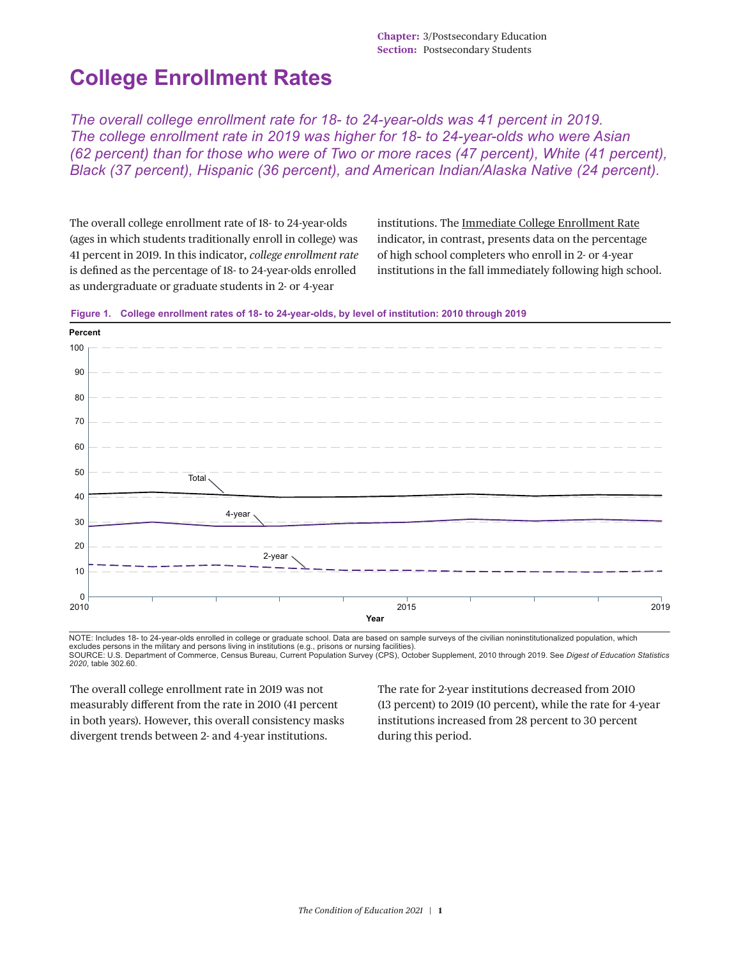## **College Enrollment Rates**

*The overall college enrollment rate for 18- to 24-year-olds was 41 percent in 2019. The college enrollment rate in 2019 was higher for 18- to 24-year-olds who were Asian (62 percent) than for those who were of Two or more races (47 percent), White (41 percent), Black (37 percent), Hispanic (36 percent), and American Indian/Alaska Native (24 percent).*

The overall college enrollment rate of 18- to 24-year-olds (ages in which students traditionally enroll in college) was 41 percent in 2019. In this indicator, *college enrollment rate* is defined as the percentage of 18- to 24-year-olds enrolled as undergraduate or graduate students in 2- or 4-year

institutions. The [Immediate College Enrollment Rate](https://nces.ed.gov/programs/coe/indicator/cpa) indicator, in contrast, presents data on the percentage of high school completers who enroll in 2- or 4-year institutions in the fall immediately following high school.



**Figure 1. College enrollment rates of 18- to 24-year-olds, by level of institution: 2010 through 2019**

NOTE: Includes 18- to 24-year-olds enrolled in college or graduate school. Data are based on sample surveys of the civilian noninstitutionalized population, which excludes persons in the military and persons living in institutions (e.g., prisons or nursing facilities).<br>SOURCE: U.S. Department of Commerce, Census Bureau, Current Population Survey (CPS), October Supplement, 2010 throu *2020*, table 302.60.

The overall college enrollment rate in 2019 was not measurably different from the rate in 2010 (41 percent in both years). However, this overall consistency masks divergent trends between 2- and 4-year institutions.

The rate for 2-year institutions decreased from 2010 (13 percent) to 2019 (10 percent), while the rate for 4-year institutions increased from 28 percent to 30 percent during this period.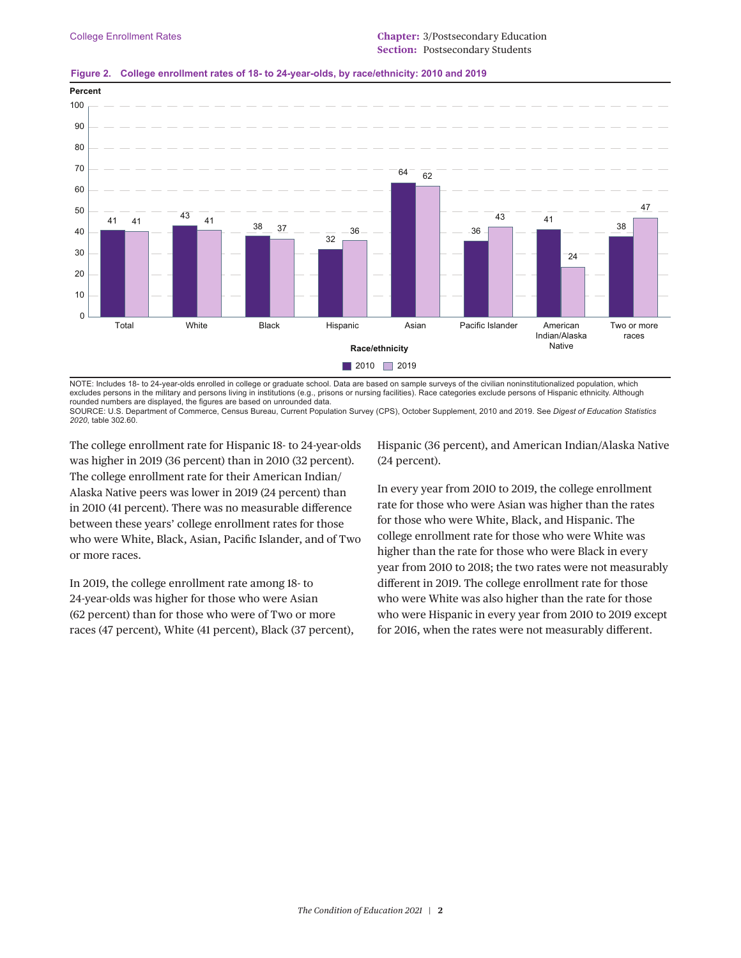

## **Figure 2. College enrollment rates of 18- to 24-year-olds, by race/ethnicity: 2010 and 2019**

NOTE: Includes 18- to 24-year-olds enrolled in college or graduate school. Data are based on sample surveys of the civilian noninstitutionalized population, which excludes persons in the military and persons living in institutions (e.g., prisons or nursing facilities). Race categories exclude persons of Hispanic ethnicity. Although rounded numbers are displayed, the figures are based on unrounded data.

SOURCE: U.S. Department of Commerce, Census Bureau, Current Population Survey (CPS), October Supplement, 2010 and 2019. See *Digest of Education Statistics 2020*, table 302.60.

The college enrollment rate for Hispanic 18- to 24-year-olds was higher in 2019 (36 percent) than in 2010 (32 percent). The college enrollment rate for their American Indian/ Alaska Native peers was lower in 2019 (24 percent) than in 2010 (41 percent). There was no measurable difference between these years' college enrollment rates for those who were White, Black, Asian, Pacific Islander, and of Two or more races.

In 2019, the college enrollment rate among 18- to 24-year-olds was higher for those who were Asian (62 percent) than for those who were of Two or more races (47 percent), White (41 percent), Black (37 percent), Hispanic (36 percent), and American Indian/Alaska Native (24 percent).

In every year from 2010 to 2019, the college enrollment rate for those who were Asian was higher than the rates for those who were White, Black, and Hispanic. The college enrollment rate for those who were White was higher than the rate for those who were Black in every year from 2010 to 2018; the two rates were not measurably different in 2019. The college enrollment rate for those who were White was also higher than the rate for those who were Hispanic in every year from 2010 to 2019 except for 2016, when the rates were not measurably different.